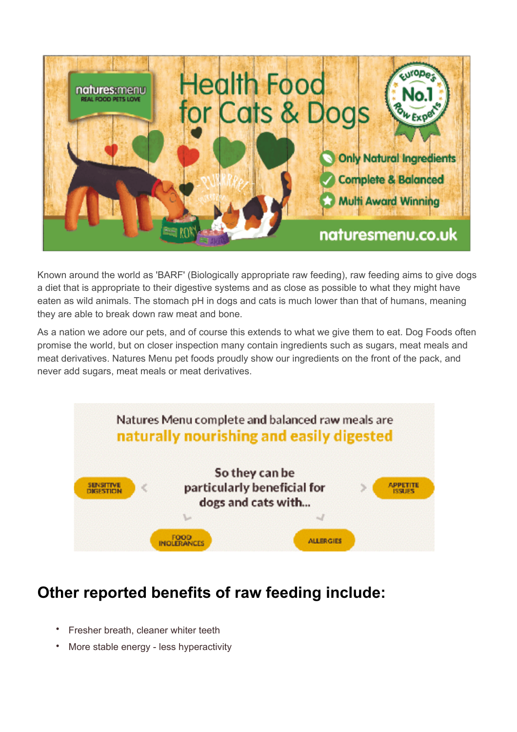

Known around the world as 'BARF' (Biologically appropriate raw feeding), raw feeding aims to give dogs a diet that is appropriate to their digestive systems and as close as possible to what they might have eaten as wild animals. The stomach pH in dogs and cats is much lower than that of humans, meaning they are able to break down raw meat and bone.

As a nation we adore our pets, and of course this extends to what we give them to eat. Dog Foods often promise the world, but on closer inspection many contain ingredients such as sugars, meat meals and meat derivatives. Natures Menu pet foods proudly show our ingredients on the front of the pack, and never add sugars, meat meals or meat derivatives.



## **Other reported benefits of raw feeding include:**

- Fresher breath, cleaner whiter teeth
- More stable energy less hyperactivity